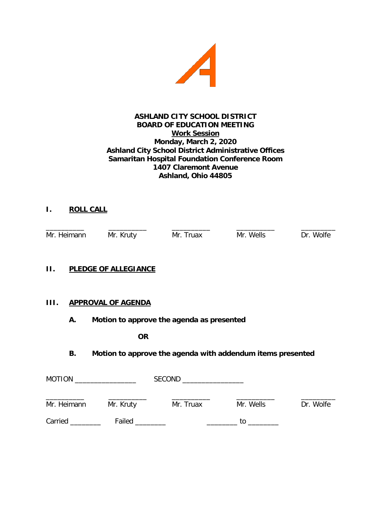

## **ASHLAND CITY SCHOOL DISTRICT BOARD OF EDUCATION MEETING Work Session Monday, March 2, 2020 Ashland City School District Administrative Offices Samaritan Hospital Foundation Conference Room 1407 Claremont Avenue Ashland, Ohio 44805**

# **I. ROLL CALL**

\_\_\_\_\_\_\_\_\_\_ \_\_\_\_\_\_\_\_\_\_ \_\_\_\_\_\_\_\_\_\_ \_\_\_\_\_\_\_\_\_\_ \_\_\_\_\_\_\_\_\_ Mr. Heimann Mr. Kruty Mr. Truax Mr. Wells Dr. Wolfe

### **II. PLEDGE OF ALLEGIANCE**

## **III. APPROVAL OF AGENDA**

**A. Motion to approve the agenda as presented**

**OR**

## **B. Motion to approve the agenda with addendum items presented**

| <b>MOTION</b> |                       | <b>SECOND</b> |           |           |  |
|---------------|-----------------------|---------------|-----------|-----------|--|
| Mr. Heimann   | Mr. Kruty             | Mr. Truax     | Mr. Wells | Dr. Wolfe |  |
| Carried       | Failed <b>Example</b> |               | tο        |           |  |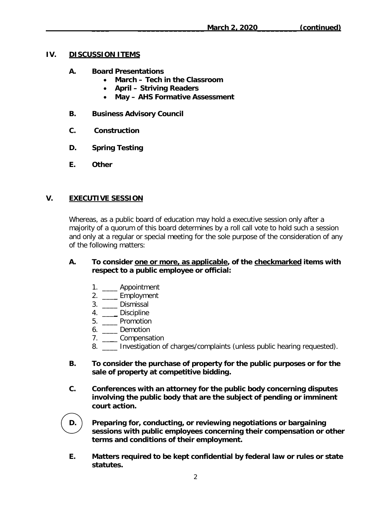### **IV. DISCUSSION ITEMS**

- **A. Board Presentations**
	- **March – Tech in the Classroom**
	- **April – Striving Readers**
	- **May – AHS Formative Assessment**
- **B. Business Advisory Council**
- **C. Construction**
- **D. Spring Testing**
- **E. Other**

## **V. EXECUTIVE SESSION**

Whereas, as a public board of education may hold a executive session only after a majority of a quorum of this board determines by a roll call vote to hold such a session and only at a regular or special meeting for the sole purpose of the consideration of any of the following matters:

### **A. To consider one or more, as applicable, of the checkmarked items with respect to a public employee or official:**

- 1. \_\_\_\_ Appointment
- 2. \_\_\_\_ Employment
- 3. \_\_\_\_ Dismissal
- 4. \_\_\_\_ Discipline
- 5. \_\_\_\_ Promotion
- 6. \_\_\_\_ Demotion
- 7. \_\_\_\_ Compensation
- 8. \_\_\_\_ Investigation of charges/complaints (unless public hearing requested).
- **B. To consider the purchase of property for the public purposes or for the sale of property at competitive bidding.**
- **C. Conferences with an attorney for the public body concerning disputes involving the public body that are the subject of pending or imminent court action.**
- **D. Preparing for, conducting, or reviewing negotiations or bargaining sessions with public employees concerning their compensation or other terms and conditions of their employment.**
- **E. Matters required to be kept confidential by federal law or rules or state statutes.**